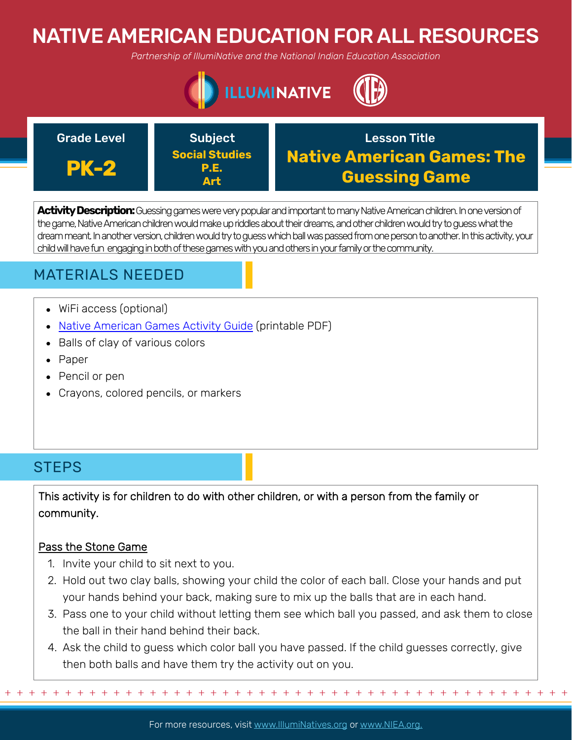# NATIVE AMERICAN EDUCATION FOR ALL RESOURCES

*Partnership of IllumiNative and the National Indian Education Association*



### Grade Level **Construction Construction Construction** Crade Lesson Title **PK-2** Subject **Social Studies P.E. Art Native American Games: The Guessing Game**

**Activity Description:**Guessing games were very popular and important to many Native American children. In one version of the game, Native American children would make up riddles about their dreams, and other children would try to guess what the dream meant. In another version, children would try to guess which ball was passed from one person to another. In this activity, your child will have fun engaging in both of these games with you and others in your family or the community.

## MATERIALS NEEDED

- WiFi access (optional)
- [Native American Games Activity Guide](https://www.scholastic.com/teachers/lesson-plans/teaching-content/native-american-games/) (printable PDF)
- Balls of clay of various colors
- Paper
- Pencil or pen
- Crayons, colored pencils, or markers

## **STEPS**

This activity is for children to do with other children, or with a person from the family or community.

### Pass the Stone Game

- 1. Invite your child to sit next to you.
- 2. Hold out two clay balls, showing your child the color of each ball. Close your hands and put your hands behind your back, making sure to mix up the balls that are in each hand.
- 3. Pass one to your child without letting them see which ball you passed, and ask them to close the ball in their hand behind their back.
- 4. Ask the child to guess which color ball you have passed. If the child guesses correctly, give then both balls and have them try the activity out on you.

For more resources, visit www.lllumiNatives.org or www.NIEA.org.

+ + + + + + + + + + + + + + + + + + + + + + + + + + + + + + + + + + + + + + + + + + + + + + + +